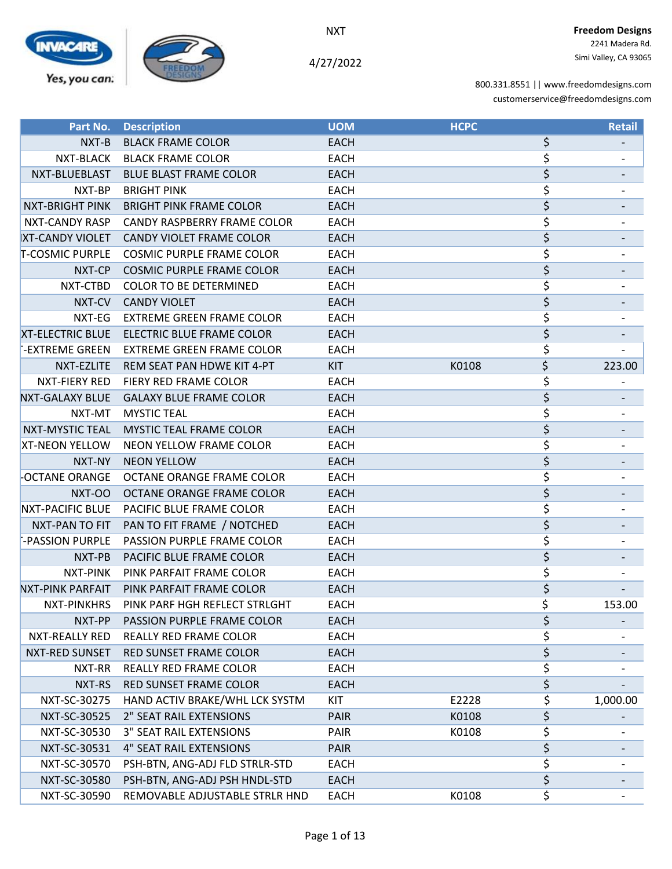

4/27/2022

|                         | <b>Part No. Description</b>             | <b>UOM</b>  | <b>HCPC</b> |    | <b>Retail</b> |
|-------------------------|-----------------------------------------|-------------|-------------|----|---------------|
| NXT-B                   | <b>BLACK FRAME COLOR</b>                | <b>EACH</b> |             | \$ |               |
| NXT-BLACK               | <b>BLACK FRAME COLOR</b>                | <b>EACH</b> |             | \$ |               |
| NXT-BLUEBLAST           | <b>BLUE BLAST FRAME COLOR</b>           | <b>EACH</b> |             | \$ |               |
| NXT-BP                  | <b>BRIGHT PINK</b>                      | <b>EACH</b> |             | \$ |               |
| NXT-BRIGHT PINK         | <b>BRIGHT PINK FRAME COLOR</b>          | <b>EACH</b> |             | \$ |               |
| NXT-CANDY RASP          | CANDY RASPBERRY FRAME COLOR             | <b>EACH</b> |             | \$ |               |
| <b>XT-CANDY VIOLET</b>  | <b>CANDY VIOLET FRAME COLOR</b>         | <b>EACH</b> |             | \$ |               |
| T-COSMIC PURPLE         | <b>COSMIC PURPLE FRAME COLOR</b>        | <b>EACH</b> |             | \$ |               |
| NXT-CP                  | <b>COSMIC PURPLE FRAME COLOR</b>        | <b>EACH</b> |             | \$ |               |
| NXT-CTBD                | COLOR TO BE DETERMINED                  | <b>EACH</b> |             | \$ |               |
| NXT-CV                  | <b>CANDY VIOLET</b>                     | <b>EACH</b> |             | \$ |               |
| NXT-EG                  | <b>EXTREME GREEN FRAME COLOR</b>        | <b>EACH</b> |             | \$ |               |
| <b>XT-ELECTRIC BLUE</b> | <b>ELECTRIC BLUE FRAME COLOR</b>        | <b>EACH</b> |             | \$ |               |
| -EXTREME GREEN          | <b>EXTREME GREEN FRAME COLOR</b>        | <b>EACH</b> |             | \$ |               |
| NXT-EZLITE              | REM SEAT PAN HDWE KIT 4-PT              | <b>KIT</b>  | K0108       | \$ | 223.00        |
| NXT-FIERY RED           | FIERY RED FRAME COLOR                   | <b>EACH</b> |             | \$ |               |
|                         | NXT-GALAXY BLUE GALAXY BLUE FRAME COLOR | <b>EACH</b> |             | \$ |               |
| NXT-MT                  | <b>MYSTIC TEAL</b>                      | <b>EACH</b> |             | \$ |               |
| <b>NXT-MYSTIC TEAL</b>  | MYSTIC TEAL FRAME COLOR                 | <b>EACH</b> |             | \$ |               |
| XT-NEON YELLOW          | NEON YELLOW FRAME COLOR                 | <b>EACH</b> |             | \$ |               |
| NXT-NY                  | <b>NEON YELLOW</b>                      | <b>EACH</b> |             | \$ |               |
| OCTANE ORANGE           | OCTANE ORANGE FRAME COLOR               | <b>EACH</b> |             | \$ |               |
| NXT-OO                  | OCTANE ORANGE FRAME COLOR               | <b>EACH</b> |             | \$ |               |
| <b>NXT-PACIFIC BLUE</b> | PACIFIC BLUE FRAME COLOR                | <b>EACH</b> |             | \$ |               |
| NXT-PAN TO FIT          | PAN TO FIT FRAME / NOTCHED              | <b>EACH</b> |             | \$ |               |
| -PASSION PURPLE         | PASSION PURPLE FRAME COLOR              | <b>EACH</b> |             | \$ |               |
| NXT-PB                  | <b>PACIFIC BLUE FRAME COLOR</b>         | <b>EACH</b> |             | \$ |               |
| NXT-PINK                | PINK PARFAIT FRAME COLOR                | <b>EACH</b> |             | \$ |               |
| NXT-PINK PARFAIT        | PINK PARFAIT FRAME COLOR                | <b>EACH</b> |             | \$ |               |
| NXT-PINKHRS             | PINK PARF HGH REFLECT STRLGHT           | EACH        |             | Ś  | 153.00        |
| NXT-PP                  | PASSION PURPLE FRAME COLOR              | <b>EACH</b> |             | \$ |               |
| NXT-REALLY RED          | REALLY RED FRAME COLOR                  | <b>EACH</b> |             | \$ |               |
| NXT-RED SUNSET          | RED SUNSET FRAME COLOR                  | <b>EACH</b> |             | \$ |               |
| NXT-RR                  | <b>REALLY RED FRAME COLOR</b>           | <b>EACH</b> |             | \$ |               |
| NXT-RS                  | <b>RED SUNSET FRAME COLOR</b>           | <b>EACH</b> |             | \$ |               |
| NXT-SC-30275            | HAND ACTIV BRAKE/WHL LCK SYSTM          | KIT         | E2228       | \$ | 1,000.00      |
| NXT-SC-30525            | <b>2" SEAT RAIL EXTENSIONS</b>          | PAIR        | K0108       | \$ |               |
| NXT-SC-30530            | <b>3" SEAT RAIL EXTENSIONS</b>          | PAIR        | K0108       | \$ |               |
| NXT-SC-30531            | <b>4" SEAT RAIL EXTENSIONS</b>          | <b>PAIR</b> |             | \$ |               |
| NXT-SC-30570            | PSH-BTN, ANG-ADJ FLD STRLR-STD          | <b>EACH</b> |             | \$ |               |
| NXT-SC-30580            | PSH-BTN, ANG-ADJ PSH HNDL-STD           | <b>EACH</b> |             | \$ |               |
| NXT-SC-30590            | REMOVABLE ADJUSTABLE STRLR HND          | <b>EACH</b> | K0108       | \$ |               |
|                         |                                         |             |             |    |               |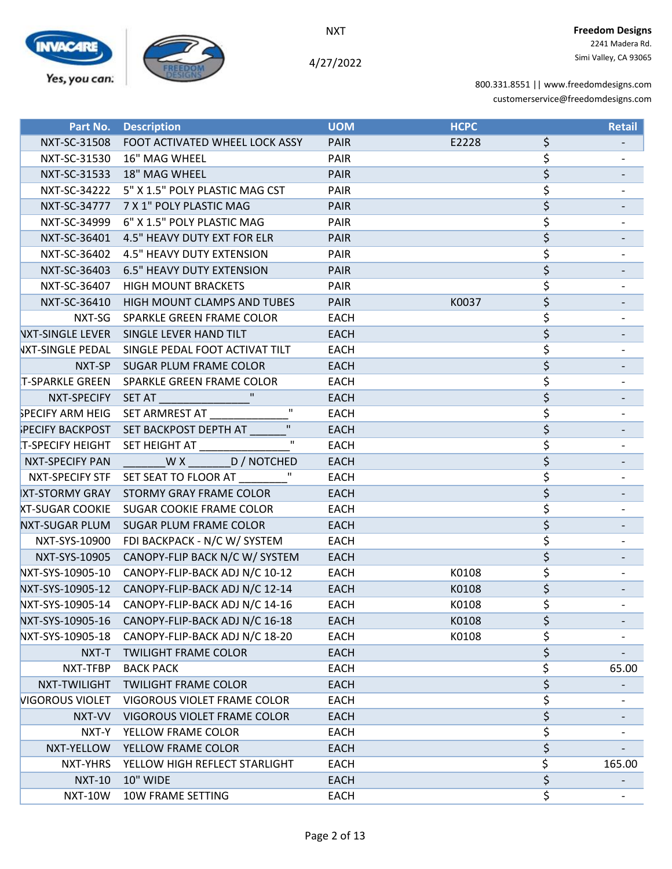

4/27/2022

| Part No.               | <b>Description</b>                              | <b>UOM</b>  | <b>HCPC</b> | Retail       |
|------------------------|-------------------------------------------------|-------------|-------------|--------------|
|                        | NXT-SC-31508 FOOT ACTIVATED WHEEL LOCK ASSY     | <b>PAIR</b> | E2228       | \$           |
|                        | NXT-SC-31530 16" MAG WHEEL                      | PAIR        |             | \$           |
| NXT-SC-31533           | 18" MAG WHEEL                                   | <b>PAIR</b> |             | \$           |
|                        | NXT-SC-34222 5" X 1.5" POLY PLASTIC MAG CST     | <b>PAIR</b> |             | \$           |
|                        | NXT-SC-34777 7 X 1" POLY PLASTIC MAG            | <b>PAIR</b> |             | \$           |
|                        | NXT-SC-34999 6" X 1.5" POLY PLASTIC MAG         | PAIR        |             | \$           |
| NXT-SC-36401           | 4.5" HEAVY DUTY EXT FOR ELR                     | <b>PAIR</b> |             | \$           |
| NXT-SC-36402           | 4.5" HEAVY DUTY EXTENSION                       | <b>PAIR</b> |             | \$           |
| NXT-SC-36403           | <b>6.5" HEAVY DUTY EXTENSION</b>                | <b>PAIR</b> |             | \$           |
|                        | NXT-SC-36407 HIGH MOUNT BRACKETS                | <b>PAIR</b> |             | \$           |
|                        | NXT-SC-36410 HIGH MOUNT CLAMPS AND TUBES        | <b>PAIR</b> | K0037       | \$           |
| NXT-SG                 | SPARKLE GREEN FRAME COLOR                       | <b>EACH</b> |             | \$           |
|                        | VXT-SINGLE LEVER SINGLE LEVER HAND TILT         | <b>EACH</b> |             | \$           |
| VXT-SINGLE PEDAL       | SINGLE PEDAL FOOT ACTIVAT TILT                  | <b>EACH</b> |             | \$           |
|                        | NXT-SP SUGAR PLUM FRAME COLOR                   | <b>EACH</b> |             | \$           |
|                        | T-SPARKLE GREEN SPARKLE GREEN FRAME COLOR       | <b>EACH</b> |             | \$           |
| NXT-SPECIFY            | SET AT <b>ALCOHOL:</b>                          | <b>EACH</b> |             | \$           |
|                        | SPECIFY ARM HEIG SET ARMREST AT                 | <b>EACH</b> |             | \$           |
|                        | PECIFY BACKPOST SET BACKPOST DEPTH AT           | <b>EACH</b> |             | \$           |
|                        | T-SPECIFY HEIGHT SET HEIGHT AT                  | <b>EACH</b> |             | \$           |
| <b>NXT-SPECIFY PAN</b> | WX D/NOTCHED                                    | <b>EACH</b> |             | \$           |
| NXT-SPECIFY STF        | SET SEAT TO FLOOR AT                            | <b>EACH</b> |             | \$           |
|                        | XT-STORMY GRAY STORMY GRAY FRAME COLOR          | <b>EACH</b> |             | \$           |
|                        | <b>XT-SUGAR COOKIE SUGAR COOKIE FRAME COLOR</b> | <b>EACH</b> |             | \$           |
|                        | NXT-SUGAR PLUM SUGAR PLUM FRAME COLOR           | <b>EACH</b> |             | \$           |
| NXT-SYS-10900          | FDI BACKPACK - N/C W/ SYSTEM                    | <b>EACH</b> |             | \$           |
| NXT-SYS-10905          | CANOPY-FLIP BACK N/C W/ SYSTEM                  | <b>EACH</b> |             | \$           |
| NXT-SYS-10905-10       | CANOPY-FLIP-BACK ADJ N/C 10-12                  | <b>EACH</b> | K0108       | \$           |
| NXT-SYS-10905-12       | CANOPY-FLIP-BACK ADJ N/C 12-14                  | <b>EACH</b> | K0108       | \$           |
| NXT-SYS-10905-14       | CANOPY-FLIP-BACK ADJ N/C 14-16                  | <b>EACH</b> | K0108       | \$           |
| NXT-SYS-10905-16       | CANOPY-FLIP-BACK ADJ N/C 16-18                  | <b>EACH</b> | K0108       | \$           |
| NXT-SYS-10905-18       | CANOPY-FLIP-BACK ADJ N/C 18-20                  | <b>EACH</b> | K0108       | \$           |
| NXT-T                  | <b>TWILIGHT FRAME COLOR</b>                     | <b>EACH</b> |             | \$           |
| NXT-TFBP               | <b>BACK PACK</b>                                | <b>EACH</b> |             | \$<br>65.00  |
| NXT-TWILIGHT           | <b>TWILIGHT FRAME COLOR</b>                     | <b>EACH</b> |             | \$           |
| <b>VIGOROUS VIOLET</b> | VIGOROUS VIOLET FRAME COLOR                     | <b>EACH</b> |             | \$           |
| NXT-VV                 | VIGOROUS VIOLET FRAME COLOR                     | <b>EACH</b> |             | \$           |
| NXT-Y                  | YELLOW FRAME COLOR                              | <b>EACH</b> |             | \$           |
| NXT-YELLOW             | YELLOW FRAME COLOR                              | <b>EACH</b> |             | \$           |
| NXT-YHRS               | YELLOW HIGH REFLECT STARLIGHT                   | <b>EACH</b> |             | \$<br>165.00 |
| <b>NXT-10</b>          | 10" WIDE                                        | <b>EACH</b> |             | \$           |
| <b>NXT-10W</b>         | 10W FRAME SETTING                               | <b>EACH</b> |             | \$           |
|                        |                                                 |             |             |              |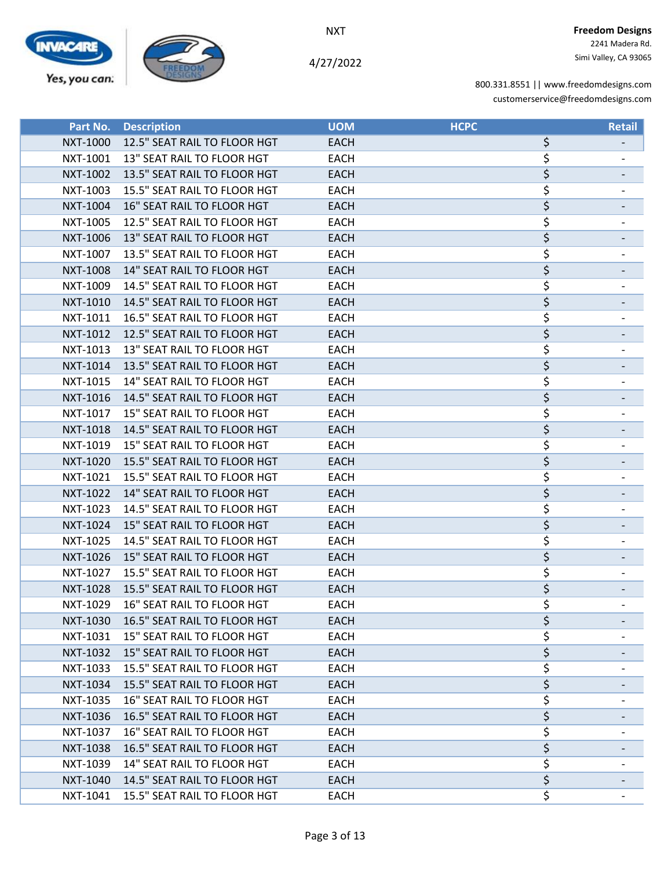

4/27/2022

| Part No. | <b>Description</b>                    | <b>UOM</b>  | <b>HCPC</b> | <b>Retail</b> |
|----------|---------------------------------------|-------------|-------------|---------------|
| NXT-1000 | 12.5" SEAT RAIL TO FLOOR HGT          | <b>EACH</b> | \$          |               |
| NXT-1001 | 13" SEAT RAIL TO FLOOR HGT            | <b>EACH</b> | \$          |               |
| NXT-1002 | 13.5" SEAT RAIL TO FLOOR HGT          | <b>EACH</b> | \$          |               |
| NXT-1003 | 15.5" SEAT RAIL TO FLOOR HGT          | <b>EACH</b> | \$          |               |
| NXT-1004 | 16" SEAT RAIL TO FLOOR HGT            | <b>EACH</b> | \$          |               |
| NXT-1005 | 12.5" SEAT RAIL TO FLOOR HGT          | <b>EACH</b> | \$          |               |
| NXT-1006 | 13" SEAT RAIL TO FLOOR HGT            | <b>EACH</b> | \$          |               |
| NXT-1007 | 13.5" SEAT RAIL TO FLOOR HGT          | <b>EACH</b> | \$          |               |
| NXT-1008 | 14" SEAT RAIL TO FLOOR HGT            | <b>EACH</b> | \$          |               |
| NXT-1009 | 14.5" SEAT RAIL TO FLOOR HGT          | <b>EACH</b> | \$          |               |
| NXT-1010 | 14.5" SEAT RAIL TO FLOOR HGT          | <b>EACH</b> | \$          |               |
| NXT-1011 | 16.5" SEAT RAIL TO FLOOR HGT          | <b>EACH</b> | \$          |               |
| NXT-1012 | 12.5" SEAT RAIL TO FLOOR HGT          | <b>EACH</b> | \$          |               |
| NXT-1013 | 13" SEAT RAIL TO FLOOR HGT            | <b>EACH</b> | \$          |               |
| NXT-1014 | 13.5" SEAT RAIL TO FLOOR HGT          | <b>EACH</b> | \$          |               |
| NXT-1015 | 14" SEAT RAIL TO FLOOR HGT            | <b>EACH</b> | \$          |               |
| NXT-1016 | 14.5" SEAT RAIL TO FLOOR HGT          | <b>EACH</b> | \$          |               |
| NXT-1017 | 15" SEAT RAIL TO FLOOR HGT            | <b>EACH</b> | \$          |               |
| NXT-1018 | 14.5" SEAT RAIL TO FLOOR HGT          | <b>EACH</b> | \$          |               |
| NXT-1019 | 15" SEAT RAIL TO FLOOR HGT            | <b>EACH</b> | \$          |               |
| NXT-1020 | 15.5" SEAT RAIL TO FLOOR HGT          | <b>EACH</b> | \$          |               |
| NXT-1021 | 15.5" SEAT RAIL TO FLOOR HGT          | <b>EACH</b> | \$          |               |
| NXT-1022 | 14" SEAT RAIL TO FLOOR HGT            | <b>EACH</b> | \$          |               |
| NXT-1023 | 14.5" SEAT RAIL TO FLOOR HGT          | <b>EACH</b> | \$          |               |
| NXT-1024 | 15" SEAT RAIL TO FLOOR HGT            | <b>EACH</b> | \$          |               |
| NXT-1025 | 14.5" SEAT RAIL TO FLOOR HGT          | <b>EACH</b> | \$          |               |
| NXT-1026 | 15" SEAT RAIL TO FLOOR HGT            | <b>EACH</b> | \$          |               |
| NXT-1027 | 15.5" SEAT RAIL TO FLOOR HGT          | <b>EACH</b> | \$          |               |
| NXT-1028 | 15.5" SEAT RAIL TO FLOOR HGT          | <b>EACH</b> | \$          |               |
| NXT-1029 | 16" SEAT RAIL TO FLOOR HGT            | <b>EACH</b> | ς           |               |
|          | NXT-1030 16.5" SEAT RAIL TO FLOOR HGT | EACH        | \$          |               |
| NXT-1031 | 15" SEAT RAIL TO FLOOR HGT            | EACH        | \$          |               |
| NXT-1032 | 15" SEAT RAIL TO FLOOR HGT            | <b>EACH</b> | \$          |               |
| NXT-1033 | 15.5" SEAT RAIL TO FLOOR HGT          | EACH        | \$          |               |
| NXT-1034 | 15.5" SEAT RAIL TO FLOOR HGT          | EACH        | \$          |               |
| NXT-1035 | 16" SEAT RAIL TO FLOOR HGT            | EACH        | \$          |               |
| NXT-1036 | 16.5" SEAT RAIL TO FLOOR HGT          | EACH        | \$          |               |
| NXT-1037 | 16" SEAT RAIL TO FLOOR HGT            | <b>EACH</b> | \$          |               |
| NXT-1038 | 16.5" SEAT RAIL TO FLOOR HGT          | <b>EACH</b> | \$          |               |
| NXT-1039 | 14" SEAT RAIL TO FLOOR HGT            | EACH        | \$          |               |
| NXT-1040 | 14.5" SEAT RAIL TO FLOOR HGT          | <b>EACH</b> | \$          |               |
| NXT-1041 | 15.5" SEAT RAIL TO FLOOR HGT          | EACH        | \$          |               |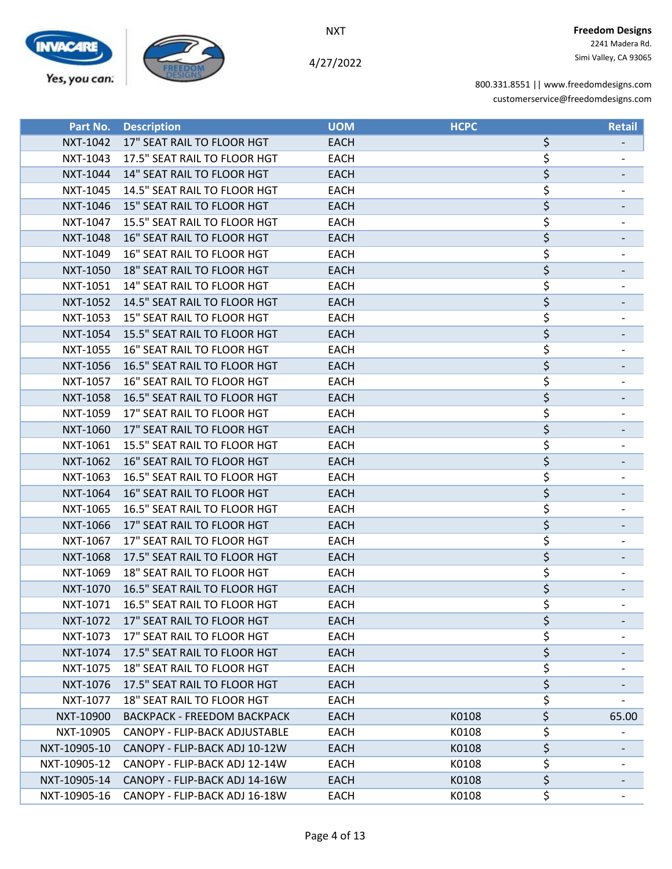

4/27/2022

 2241 Madera Rd. Simi Valley, CA 93065

| Part No.        | <b>Description</b>                 | <b>UOM</b>  | <b>HCPC</b> | <b>Retail</b> |
|-----------------|------------------------------------|-------------|-------------|---------------|
| NXT-1042        | 17" SEAT RAIL TO FLOOR HGT         | <b>EACH</b> | \$          |               |
| NXT-1043        | 17.5" SEAT RAIL TO FLOOR HGT       | <b>EACH</b> | \$          |               |
| NXT-1044        | 14" SEAT RAIL TO FLOOR HGT         | <b>EACH</b> | \$          |               |
| NXT-1045        | 14.5" SEAT RAIL TO FLOOR HGT       | <b>EACH</b> | \$          |               |
| NXT-1046        | 15" SEAT RAIL TO FLOOR HGT         | <b>EACH</b> | \$          |               |
| NXT-1047        | 15.5" SEAT RAIL TO FLOOR HGT       | <b>EACH</b> | \$          |               |
| <b>NXT-1048</b> | 16" SEAT RAIL TO FLOOR HGT         | <b>EACH</b> | \$          |               |
| NXT-1049        | 16" SEAT RAIL TO FLOOR HGT         | <b>EACH</b> | \$          |               |
| <b>NXT-1050</b> | 18" SEAT RAIL TO FLOOR HGT         | <b>EACH</b> | \$          |               |
| NXT-1051        | 14" SEAT RAIL TO FLOOR HGT         | <b>EACH</b> | \$          |               |
| <b>NXT-1052</b> | 14.5" SEAT RAIL TO FLOOR HGT       | <b>EACH</b> | \$          |               |
| NXT-1053        | 15" SEAT RAIL TO FLOOR HGT         | <b>EACH</b> | \$          |               |
| NXT-1054        | 15.5" SEAT RAIL TO FLOOR HGT       | <b>EACH</b> | \$          |               |
| NXT-1055        | 16" SEAT RAIL TO FLOOR HGT         | <b>EACH</b> | \$          |               |
| NXT-1056        | 16.5" SEAT RAIL TO FLOOR HGT       | <b>EACH</b> | \$          |               |
| NXT-1057        | 16" SEAT RAIL TO FLOOR HGT         | <b>EACH</b> | \$          |               |
| NXT-1058        | 16.5" SEAT RAIL TO FLOOR HGT       | <b>EACH</b> | \$          |               |
| NXT-1059        | 17" SEAT RAIL TO FLOOR HGT         | <b>EACH</b> | \$          |               |
| NXT-1060        | 17" SEAT RAIL TO FLOOR HGT         | <b>EACH</b> | \$          |               |
| NXT-1061        | 15.5" SEAT RAIL TO FLOOR HGT       | <b>EACH</b> | \$          |               |
| NXT-1062        | 16" SEAT RAIL TO FLOOR HGT         | <b>EACH</b> | \$          |               |
| NXT-1063        | 16.5" SEAT RAIL TO FLOOR HGT       | <b>EACH</b> | \$          |               |
| NXT-1064        | 16" SEAT RAIL TO FLOOR HGT         | <b>EACH</b> | \$          |               |
| NXT-1065        | 16.5" SEAT RAIL TO FLOOR HGT       | <b>EACH</b> | \$          |               |
| NXT-1066        | 17" SEAT RAIL TO FLOOR HGT         | <b>EACH</b> | \$          |               |
| NXT-1067        | 17" SEAT RAIL TO FLOOR HGT         | <b>EACH</b> | \$          |               |
| NXT-1068        | 17.5" SEAT RAIL TO FLOOR HGT       | <b>EACH</b> | \$          |               |
| NXT-1069        | <b>18" SEAT RAIL TO FLOOR HGT</b>  | <b>EACH</b> | \$          |               |
| NXT-1070        | 16.5" SEAT RAIL TO FLOOR HGT       | <b>EACH</b> | \$          |               |
| NXT-1071        | 16.5" SEAT RAIL TO FLOOR HGT       | <b>EACH</b> | ÷.          |               |
| NXT-1072        | 17" SEAT RAIL TO FLOOR HGT         | EACH        | \$          |               |
| NXT-1073        | 17" SEAT RAIL TO FLOOR HGT         | <b>EACH</b> | \$          |               |
| NXT-1074        | 17.5" SEAT RAIL TO FLOOR HGT       | <b>EACH</b> | \$          |               |
| NXT-1075        | 18" SEAT RAIL TO FLOOR HGT         | <b>EACH</b> | \$          |               |
| NXT-1076        | 17.5" SEAT RAIL TO FLOOR HGT       | <b>EACH</b> | \$          |               |
| NXT-1077        | 18" SEAT RAIL TO FLOOR HGT         | <b>EACH</b> | \$          |               |
| NXT-10900       | <b>BACKPACK - FREEDOM BACKPACK</b> | <b>EACH</b> | \$<br>K0108 | 65.00         |
| NXT-10905       | CANOPY - FLIP-BACK ADJUSTABLE      | EACH        | \$<br>K0108 |               |
| NXT-10905-10    | CANOPY - FLIP-BACK ADJ 10-12W      | <b>EACH</b> | \$<br>K0108 |               |
| NXT-10905-12    | CANOPY - FLIP-BACK ADJ 12-14W      | EACH        | \$<br>K0108 |               |
| NXT-10905-14    | CANOPY - FLIP-BACK ADJ 14-16W      | <b>EACH</b> | \$<br>K0108 |               |
| NXT-10905-16    | CANOPY - FLIP-BACK ADJ 16-18W      | <b>EACH</b> | \$<br>K0108 |               |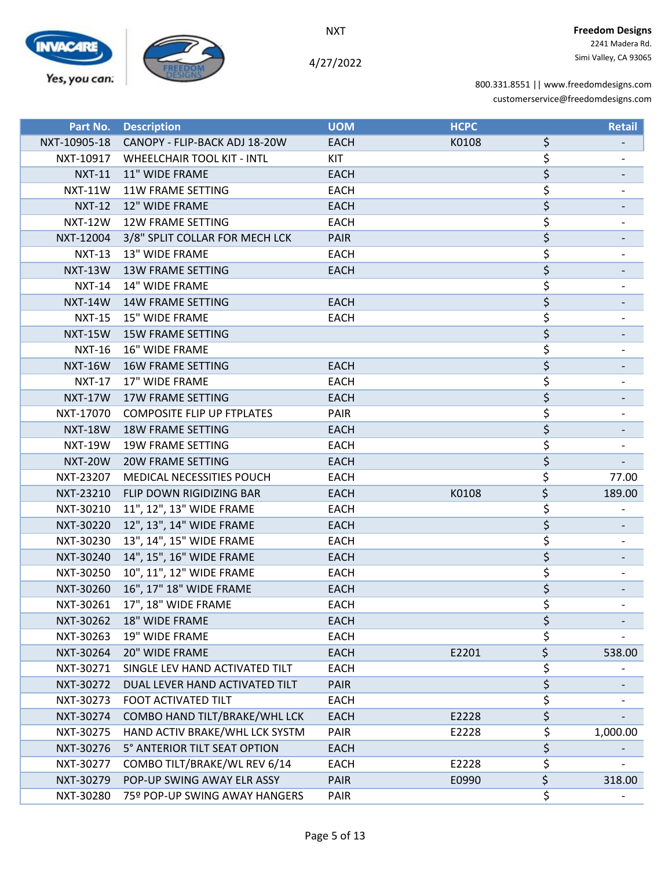

4/27/2022

| Part No.       | <b>Description</b>                 | <b>UOM</b>  | <b>HCPC</b> |                        | <b>Retail</b> |
|----------------|------------------------------------|-------------|-------------|------------------------|---------------|
| NXT-10905-18   | CANOPY - FLIP-BACK ADJ 18-20W      | <b>EACH</b> | K0108       | \$                     |               |
| NXT-10917      | <b>WHEELCHAIR TOOL KIT - INTL</b>  | <b>KIT</b>  |             | \$                     |               |
| <b>NXT-11</b>  | 11" WIDE FRAME                     | <b>EACH</b> |             | \$                     |               |
| <b>NXT-11W</b> | <b>11W FRAME SETTING</b>           | <b>EACH</b> |             | \$                     |               |
| <b>NXT-12</b>  | 12" WIDE FRAME                     | <b>EACH</b> |             | \$                     |               |
| <b>NXT-12W</b> | <b>12W FRAME SETTING</b>           | <b>EACH</b> |             | \$                     |               |
| NXT-12004      | 3/8" SPLIT COLLAR FOR MECH LCK     | <b>PAIR</b> |             | \$                     |               |
| <b>NXT-13</b>  | 13" WIDE FRAME                     | <b>EACH</b> |             | \$                     |               |
| <b>NXT-13W</b> | <b>13W FRAME SETTING</b>           | <b>EACH</b> |             | \$                     |               |
| <b>NXT-14</b>  | 14" WIDE FRAME                     |             |             | \$                     |               |
| <b>NXT-14W</b> | <b>14W FRAME SETTING</b>           | <b>EACH</b> |             | \$                     |               |
| <b>NXT-15</b>  | 15" WIDE FRAME                     | EACH        |             | \$                     |               |
| <b>NXT-15W</b> | <b>15W FRAME SETTING</b>           |             |             | \$                     |               |
| <b>NXT-16</b>  | 16" WIDE FRAME                     |             |             | \$                     |               |
| <b>NXT-16W</b> | <b>16W FRAME SETTING</b>           | <b>EACH</b> |             | \$                     |               |
| <b>NXT-17</b>  | 17" WIDE FRAME                     | <b>EACH</b> |             | \$                     |               |
| <b>NXT-17W</b> | <b>17W FRAME SETTING</b>           | <b>EACH</b> |             | \$                     |               |
| NXT-17070      | <b>COMPOSITE FLIP UP FTPLATES</b>  | PAIR        |             | \$                     |               |
| <b>NXT-18W</b> | <b>18W FRAME SETTING</b>           | <b>EACH</b> |             | \$                     |               |
| <b>NXT-19W</b> | <b>19W FRAME SETTING</b>           | <b>EACH</b> |             | \$                     |               |
| <b>NXT-20W</b> | <b>20W FRAME SETTING</b>           | <b>EACH</b> |             | \$                     |               |
| NXT-23207      | <b>MEDICAL NECESSITIES POUCH</b>   | <b>EACH</b> |             | \$                     | 77.00         |
| NXT-23210      | FLIP DOWN RIGIDIZING BAR           | <b>EACH</b> | K0108       | \$                     | 189.00        |
| NXT-30210      | 11", 12", 13" WIDE FRAME           | <b>EACH</b> |             | \$                     |               |
|                | NXT-30220 12", 13", 14" WIDE FRAME | <b>EACH</b> |             | \$                     |               |
| NXT-30230      | 13", 14", 15" WIDE FRAME           | <b>EACH</b> |             | \$                     |               |
| NXT-30240      | 14", 15", 16" WIDE FRAME           | <b>EACH</b> |             | \$                     |               |
| NXT-30250      | 10", 11", 12" WIDE FRAME           | <b>EACH</b> |             | \$                     |               |
| NXT-30260      | 16", 17" 18" WIDE FRAME            | <b>EACH</b> |             | \$                     |               |
| NXT-30261      | 17", 18" WIDE FRAME                | <b>EACH</b> |             | \$                     |               |
| NXT-30262      | 18" WIDE FRAME                     | <b>EACH</b> |             | \$                     |               |
| NXT-30263      | 19" WIDE FRAME                     | <b>EACH</b> |             | \$                     |               |
| NXT-30264      | 20" WIDE FRAME                     | <b>EACH</b> | E2201       | \$                     | 538.00        |
| NXT-30271      | SINGLE LEV HAND ACTIVATED TILT     | <b>EACH</b> |             | \$                     |               |
| NXT-30272      | DUAL LEVER HAND ACTIVATED TILT     | <b>PAIR</b> |             | \$                     |               |
| NXT-30273      | FOOT ACTIVATED TILT                | <b>EACH</b> |             | \$                     |               |
| NXT-30274      | COMBO HAND TILT/BRAKE/WHL LCK      | <b>EACH</b> | E2228       | \$                     |               |
| NXT-30275      | HAND ACTIV BRAKE/WHL LCK SYSTM     | PAIR        | E2228       | \$                     | 1,000.00      |
| NXT-30276      | 5° ANTERIOR TILT SEAT OPTION       | <b>EACH</b> |             | \$                     |               |
| NXT-30277      | COMBO TILT/BRAKE/WL REV 6/14       | <b>EACH</b> | E2228       | \$                     |               |
| NXT-30279      | POP-UP SWING AWAY ELR ASSY         | <b>PAIR</b> | E0990       | $\overline{\varsigma}$ | 318.00        |
| NXT-30280      | 75º POP-UP SWING AWAY HANGERS      | <b>PAIR</b> |             | \$                     |               |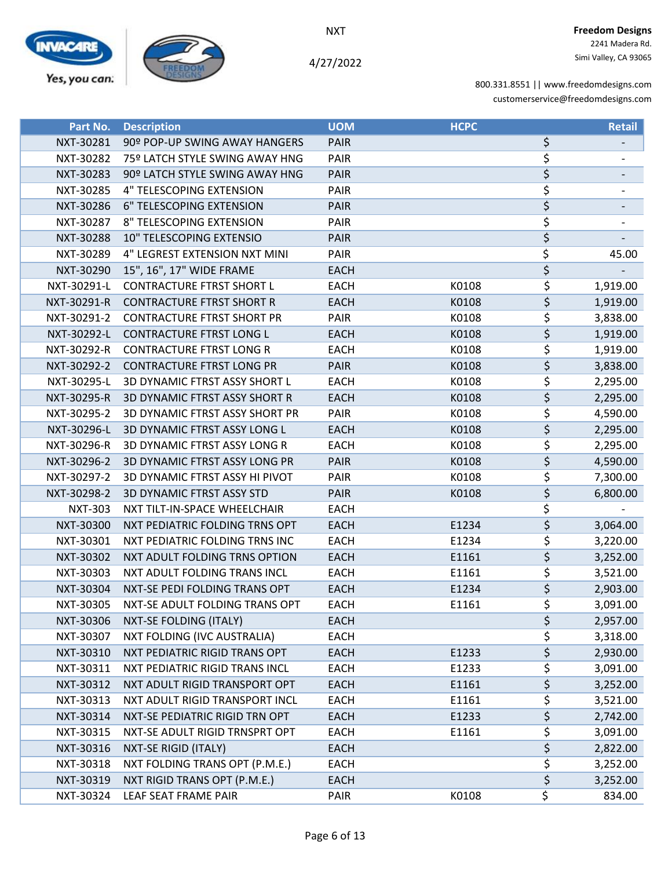



4/27/2022

| Part No.       | <b>Description</b>                    | <b>UOM</b>  | <b>HCPC</b> |                                     | <b>Retail</b> |
|----------------|---------------------------------------|-------------|-------------|-------------------------------------|---------------|
| NXT-30281      | 90º POP-UP SWING AWAY HANGERS         | <b>PAIR</b> |             | \$                                  |               |
| NXT-30282      | 75º LATCH STYLE SWING AWAY HNG        | PAIR        |             | \$                                  |               |
| NXT-30283      | 90º LATCH STYLE SWING AWAY HNG        | <b>PAIR</b> |             | \$                                  |               |
| NXT-30285      | 4" TELESCOPING EXTENSION              | PAIR        |             | \$                                  |               |
| NXT-30286      | 6" TELESCOPING EXTENSION              | <b>PAIR</b> |             | \$                                  |               |
| NXT-30287      | 8" TELESCOPING EXTENSION              | PAIR        |             | \$                                  |               |
| NXT-30288      | <b>10" TELESCOPING EXTENSIO</b>       | <b>PAIR</b> |             | \$                                  |               |
| NXT-30289      | 4" LEGREST EXTENSION NXT MINI         | PAIR        |             | \$                                  | 45.00         |
| NXT-30290      | 15", 16", 17" WIDE FRAME              | <b>EACH</b> |             | \$                                  |               |
| NXT-30291-L    | <b>CONTRACTURE FTRST SHORT L</b>      | <b>EACH</b> | K0108       | \$                                  | 1,919.00      |
| NXT-30291-R    | <b>CONTRACTURE FTRST SHORT R</b>      | <b>EACH</b> | K0108       | \$                                  | 1,919.00      |
| NXT-30291-2    | <b>CONTRACTURE FTRST SHORT PR</b>     | PAIR        | K0108       | \$                                  | 3,838.00      |
| NXT-30292-L    | <b>CONTRACTURE FTRST LONG L</b>       | <b>EACH</b> | K0108       | \$                                  | 1,919.00      |
| NXT-30292-R    | <b>CONTRACTURE FTRST LONG R</b>       | <b>EACH</b> | K0108       | \$                                  | 1,919.00      |
| NXT-30292-2    | <b>CONTRACTURE FTRST LONG PR</b>      | <b>PAIR</b> | K0108       | \$                                  | 3,838.00      |
| NXT-30295-L    | 3D DYNAMIC FTRST ASSY SHORT L         | <b>EACH</b> | K0108       | \$                                  | 2,295.00      |
| NXT-30295-R    | <b>3D DYNAMIC FTRST ASSY SHORT R</b>  | <b>EACH</b> | K0108       | \$                                  | 2,295.00      |
| NXT-30295-2    | <b>3D DYNAMIC FTRST ASSY SHORT PR</b> | PAIR        | K0108       | \$                                  | 4,590.00      |
| NXT-30296-L    | 3D DYNAMIC FTRST ASSY LONG L          | <b>EACH</b> | K0108       | $\overline{\varsigma}$              | 2,295.00      |
| NXT-30296-R    | 3D DYNAMIC FTRST ASSY LONG R          | <b>EACH</b> | K0108       | \$                                  | 2,295.00      |
| NXT-30296-2    | 3D DYNAMIC FTRST ASSY LONG PR         | <b>PAIR</b> | K0108       | \$                                  | 4,590.00      |
| NXT-30297-2    | 3D DYNAMIC FTRST ASSY HI PIVOT        | PAIR        | K0108       | \$                                  | 7,300.00      |
| NXT-30298-2    | <b>3D DYNAMIC FTRST ASSY STD</b>      | <b>PAIR</b> | K0108       | \$                                  | 6,800.00      |
| <b>NXT-303</b> | NXT TILT-IN-SPACE WHEELCHAIR          | <b>EACH</b> |             | \$                                  |               |
| NXT-30300      | NXT PEDIATRIC FOLDING TRNS OPT        | <b>EACH</b> | E1234       | \$                                  | 3,064.00      |
| NXT-30301      | NXT PEDIATRIC FOLDING TRNS INC        | <b>EACH</b> | E1234       | \$                                  | 3,220.00      |
| NXT-30302      | NXT ADULT FOLDING TRNS OPTION         | <b>EACH</b> | E1161       | \$                                  | 3,252.00      |
| NXT-30303      | NXT ADULT FOLDING TRANS INCL          | <b>EACH</b> | E1161       | \$                                  | 3,521.00      |
| NXT-30304      | NXT-SE PEDI FOLDING TRANS OPT         | <b>EACH</b> | E1234       | \$                                  | 2,903.00      |
| NXT-30305      | NXT-SE ADULT FOLDING TRANS OPT        | <b>EACH</b> | E1161       | \$                                  | 3,091.00      |
| NXT-30306      | NXT-SE FOLDING (ITALY)                | <b>EACH</b> |             | \$                                  | 2,957.00      |
| NXT-30307      | NXT FOLDING (IVC AUSTRALIA)           | <b>EACH</b> |             | \$                                  | 3,318.00      |
| NXT-30310      | NXT PEDIATRIC RIGID TRANS OPT         | <b>EACH</b> | E1233       | \$                                  | 2,930.00      |
| NXT-30311      | NXT PEDIATRIC RIGID TRANS INCL        | <b>EACH</b> | E1233       | \$                                  | 3,091.00      |
| NXT-30312      | NXT ADULT RIGID TRANSPORT OPT         | <b>EACH</b> | E1161       | \$                                  | 3,252.00      |
| NXT-30313      | NXT ADULT RIGID TRANSPORT INCL        | EACH        | E1161       | \$                                  | 3,521.00      |
| NXT-30314      | NXT-SE PEDIATRIC RIGID TRN OPT        | <b>EACH</b> | E1233       | \$                                  | 2,742.00      |
| NXT-30315      | NXT-SE ADULT RIGID TRNSPRT OPT        | <b>EACH</b> | E1161       | \$                                  | 3,091.00      |
| NXT-30316      | NXT-SE RIGID (ITALY)                  | <b>EACH</b> |             | \$                                  | 2,822.00      |
| NXT-30318      | NXT FOLDING TRANS OPT (P.M.E.)        | EACH        |             | \$                                  | 3,252.00      |
| NXT-30319      | NXT RIGID TRANS OPT (P.M.E.)          | <b>EACH</b> |             | $\overline{\boldsymbol{\varsigma}}$ | 3,252.00      |
| NXT-30324      | LEAF SEAT FRAME PAIR                  | <b>PAIR</b> | K0108       | \$                                  | 834.00        |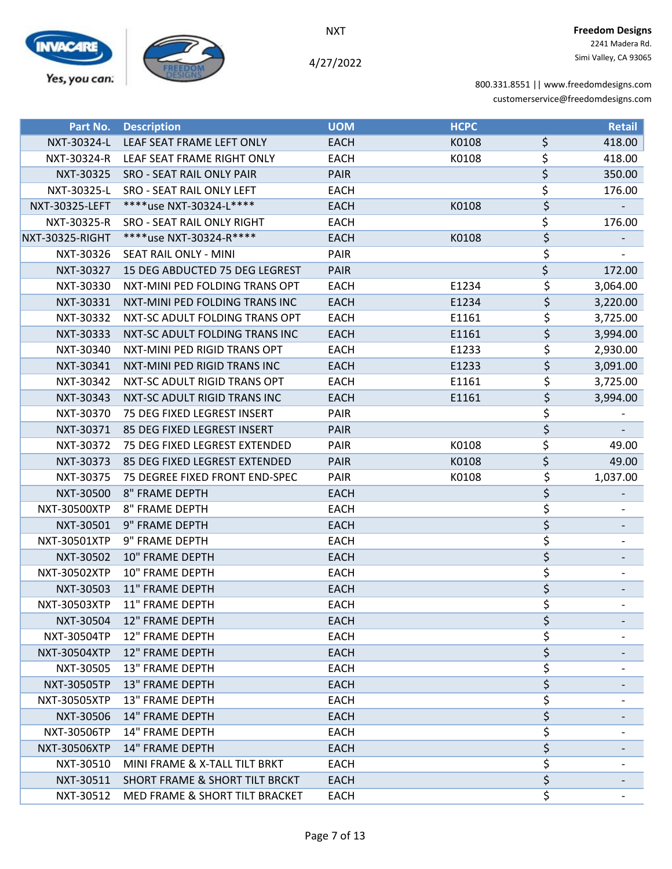

4/27/2022

| Part No.              | <b>Description</b>                    | <b>UOM</b>  | <b>HCPC</b> |                                 | <b>Retail</b> |
|-----------------------|---------------------------------------|-------------|-------------|---------------------------------|---------------|
| NXT-30324-L           | LEAF SEAT FRAME LEFT ONLY             | <b>EACH</b> | K0108       | \$                              | 418.00        |
| NXT-30324-R           | LEAF SEAT FRAME RIGHT ONLY            | <b>EACH</b> | K0108       | \$                              | 418.00        |
| NXT-30325             | <b>SRO - SEAT RAIL ONLY PAIR</b>      | <b>PAIR</b> |             | $\overline{\boldsymbol{\zeta}}$ | 350.00        |
| NXT-30325-L           | SRO - SEAT RAIL ONLY LEFT             | <b>EACH</b> |             | \$                              | 176.00        |
| <b>NXT-30325-LEFT</b> | ****use NXT-30324-L****               | <b>EACH</b> | K0108       | \$                              |               |
| NXT-30325-R           | SRO - SEAT RAIL ONLY RIGHT            | <b>EACH</b> |             | \$                              | 176.00        |
| NXT-30325-RIGHT       | ****use NXT-30324-R****               | <b>EACH</b> | K0108       | \$                              |               |
| NXT-30326             | SEAT RAIL ONLY - MINI                 | PAIR        |             | \$                              |               |
| NXT-30327             | <b>15 DEG ABDUCTED 75 DEG LEGREST</b> | <b>PAIR</b> |             | \$                              | 172.00        |
| NXT-30330             | NXT-MINI PED FOLDING TRANS OPT        | <b>EACH</b> | E1234       | \$                              | 3,064.00      |
| NXT-30331             | NXT-MINI PED FOLDING TRANS INC        | <b>EACH</b> | E1234       | \$                              | 3,220.00      |
| NXT-30332             | NXT-SC ADULT FOLDING TRANS OPT        | <b>EACH</b> | E1161       | \$                              | 3,725.00      |
| NXT-30333             | NXT-SC ADULT FOLDING TRANS INC        | <b>EACH</b> | E1161       | \$                              | 3,994.00      |
| NXT-30340             | NXT-MINI PED RIGID TRANS OPT          | <b>EACH</b> | E1233       | \$                              | 2,930.00      |
| NXT-30341             | NXT-MINI PED RIGID TRANS INC          | <b>EACH</b> | E1233       | \$                              | 3,091.00      |
| NXT-30342             | NXT-SC ADULT RIGID TRANS OPT          | <b>EACH</b> | E1161       | \$                              | 3,725.00      |
| NXT-30343             | NXT-SC ADULT RIGID TRANS INC          | <b>EACH</b> | E1161       | \$                              | 3,994.00      |
| NXT-30370             | 75 DEG FIXED LEGREST INSERT           | PAIR        |             | \$                              |               |
| NXT-30371             | 85 DEG FIXED LEGREST INSERT           | <b>PAIR</b> |             | \$                              |               |
| NXT-30372             | 75 DEG FIXED LEGREST EXTENDED         | PAIR        | K0108       | \$                              | 49.00         |
| NXT-30373             | 85 DEG FIXED LEGREST EXTENDED         | <b>PAIR</b> | K0108       | \$                              | 49.00         |
| NXT-30375             | 75 DEGREE FIXED FRONT END-SPEC        | <b>PAIR</b> | K0108       | \$                              | 1,037.00      |
| NXT-30500             | <b>8" FRAME DEPTH</b>                 | <b>EACH</b> |             | \$                              |               |
| NXT-30500XTP          | 8" FRAME DEPTH                        | <b>EACH</b> |             | \$                              |               |
| NXT-30501             | 9" FRAME DEPTH                        | <b>EACH</b> |             | \$                              |               |
| NXT-30501XTP          | 9" FRAME DEPTH                        | <b>EACH</b> |             | \$                              |               |
| NXT-30502             | 10" FRAME DEPTH                       | <b>EACH</b> |             | \$                              |               |
| NXT-30502XTP          | 10" FRAME DEPTH                       | <b>EACH</b> |             | \$                              |               |
| NXT-30503             | 11" FRAME DEPTH                       | <b>EACH</b> |             | \$                              |               |
| <b>NXT-30503XTP</b>   | <b>11" FRAME DEPTH</b>                | <b>EACH</b> |             | \$                              |               |
| NXT-30504             | 12" FRAME DEPTH                       | <b>EACH</b> |             | \$                              |               |
| NXT-30504TP           | 12" FRAME DEPTH                       | <b>EACH</b> |             | \$                              |               |
| <b>NXT-30504XTP</b>   | 12" FRAME DEPTH                       | <b>EACH</b> |             | \$                              |               |
| NXT-30505             | 13" FRAME DEPTH                       | <b>EACH</b> |             | \$                              |               |
| <b>NXT-30505TP</b>    | <b>13" FRAME DEPTH</b>                | <b>EACH</b> |             | \$                              |               |
| NXT-30505XTP          | 13" FRAME DEPTH                       | <b>EACH</b> |             | \$                              |               |
| NXT-30506             | 14" FRAME DEPTH                       | <b>EACH</b> |             | \$                              |               |
| NXT-30506TP           | 14" FRAME DEPTH                       | EACH        |             | \$                              |               |
| <b>NXT-30506XTP</b>   | <b>14" FRAME DEPTH</b>                | <b>EACH</b> |             | \$                              |               |
| NXT-30510             | MINI FRAME & X-TALL TILT BRKT         | EACH        |             | \$                              |               |
| NXT-30511             | SHORT FRAME & SHORT TILT BRCKT        | EACH        |             | \$                              |               |
| NXT-30512             | MED FRAME & SHORT TILT BRACKET        | EACH        |             | \$                              |               |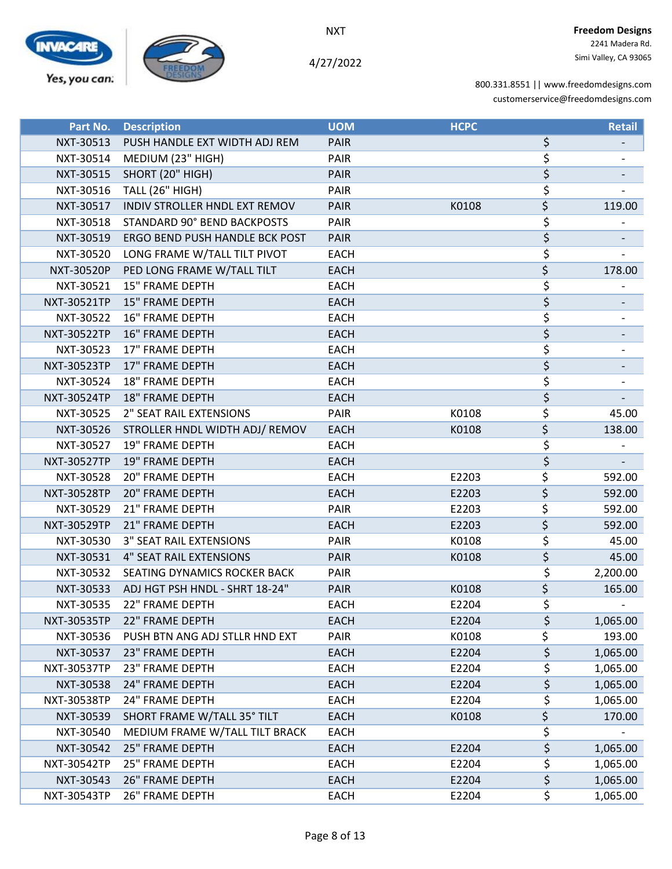

4/27/2022

| Part No.           | <b>Description</b>             | <b>UOM</b>  | <b>HCPC</b> | <b>Retail</b>  |
|--------------------|--------------------------------|-------------|-------------|----------------|
| NXT-30513          | PUSH HANDLE EXT WIDTH ADJ REM  | <b>PAIR</b> |             | \$             |
| NXT-30514          | MEDIUM (23" HIGH)              | PAIR        |             | \$             |
| NXT-30515          | SHORT (20" HIGH)               | <b>PAIR</b> |             | \$             |
| NXT-30516          | <b>TALL (26" HIGH)</b>         | PAIR        |             | \$             |
| NXT-30517          | INDIV STROLLER HNDL EXT REMOV  | <b>PAIR</b> | K0108       | \$<br>119.00   |
| NXT-30518          | STANDARD 90° BEND BACKPOSTS    | PAIR        |             | \$             |
| NXT-30519          | ERGO BEND PUSH HANDLE BCK POST | <b>PAIR</b> |             | \$             |
| NXT-30520          | LONG FRAME W/TALL TILT PIVOT   | <b>EACH</b> |             | \$             |
| <b>NXT-30520P</b>  | PED LONG FRAME W/TALL TILT     | <b>EACH</b> |             | \$<br>178.00   |
| NXT-30521          | <b>15" FRAME DEPTH</b>         | <b>EACH</b> |             | \$             |
| NXT-30521TP        | <b>15" FRAME DEPTH</b>         | <b>EACH</b> |             | \$             |
| NXT-30522          | <b>16" FRAME DEPTH</b>         | <b>EACH</b> |             | \$             |
| <b>NXT-30522TP</b> | <b>16" FRAME DEPTH</b>         | <b>EACH</b> |             | \$             |
| NXT-30523          | 17" FRAME DEPTH                | <b>EACH</b> |             | \$             |
| NXT-30523TP        | 17" FRAME DEPTH                | <b>EACH</b> |             | \$             |
| NXT-30524          | <b>18" FRAME DEPTH</b>         | <b>EACH</b> |             | \$             |
| <b>NXT-30524TP</b> | <b>18" FRAME DEPTH</b>         | <b>EACH</b> |             | \$             |
| NXT-30525          | 2" SEAT RAIL EXTENSIONS        | PAIR        | K0108       | \$<br>45.00    |
| NXT-30526          | STROLLER HNDL WIDTH ADJ/ REMOV | <b>EACH</b> | K0108       | \$<br>138.00   |
| NXT-30527          | <b>19" FRAME DEPTH</b>         | <b>EACH</b> |             | \$             |
| <b>NXT-30527TP</b> | 19" FRAME DEPTH                | <b>EACH</b> |             | \$             |
| NXT-30528          | 20" FRAME DEPTH                | <b>EACH</b> | E2203       | \$<br>592.00   |
| <b>NXT-30528TP</b> | <b>20" FRAME DEPTH</b>         | <b>EACH</b> | E2203       | \$<br>592.00   |
| NXT-30529          | <b>21" FRAME DEPTH</b>         | PAIR        | E2203       | \$<br>592.00   |
| NXT-30529TP        | 21" FRAME DEPTH                | <b>EACH</b> | E2203       | \$<br>592.00   |
| NXT-30530          | <b>3" SEAT RAIL EXTENSIONS</b> | PAIR        | K0108       | \$<br>45.00    |
| NXT-30531          | <b>4" SEAT RAIL EXTENSIONS</b> | <b>PAIR</b> | K0108       | \$<br>45.00    |
| NXT-30532          | SEATING DYNAMICS ROCKER BACK   | PAIR        |             | \$<br>2,200.00 |
| NXT-30533          | ADJ HGT PSH HNDL - SHRT 18-24" | <b>PAIR</b> | K0108       | \$<br>165.00   |
| NXT-30535          | 22" FRAME DEPTH                | <b>EACH</b> | E2204       | \$             |
| NXT-30535TP        | 22" FRAME DEPTH                | <b>EACH</b> | E2204       | \$<br>1,065.00 |
| NXT-30536          | PUSH BTN ANG ADJ STLLR HND EXT | PAIR        | K0108       | \$<br>193.00   |
| NXT-30537          | 23" FRAME DEPTH                | <b>EACH</b> | E2204       | \$<br>1,065.00 |
| NXT-30537TP        | 23" FRAME DEPTH                | <b>EACH</b> | E2204       | \$<br>1,065.00 |
| NXT-30538          | <b>24" FRAME DEPTH</b>         | <b>EACH</b> | E2204       | \$<br>1,065.00 |
| NXT-30538TP        | 24" FRAME DEPTH                | <b>EACH</b> | E2204       | \$<br>1,065.00 |
| NXT-30539          | SHORT FRAME W/TALL 35° TILT    | <b>EACH</b> | K0108       | \$<br>170.00   |
| NXT-30540          | MEDIUM FRAME W/TALL TILT BRACK | <b>EACH</b> |             | \$             |
| NXT-30542          | <b>25" FRAME DEPTH</b>         | <b>EACH</b> | E2204       | \$<br>1,065.00 |
| NXT-30542TP        | 25" FRAME DEPTH                | <b>EACH</b> | E2204       | \$<br>1,065.00 |
| NXT-30543          | <b>26" FRAME DEPTH</b>         | <b>EACH</b> | E2204       | \$<br>1,065.00 |
| NXT-30543TP        | <b>26" FRAME DEPTH</b>         | <b>EACH</b> | E2204       | \$<br>1,065.00 |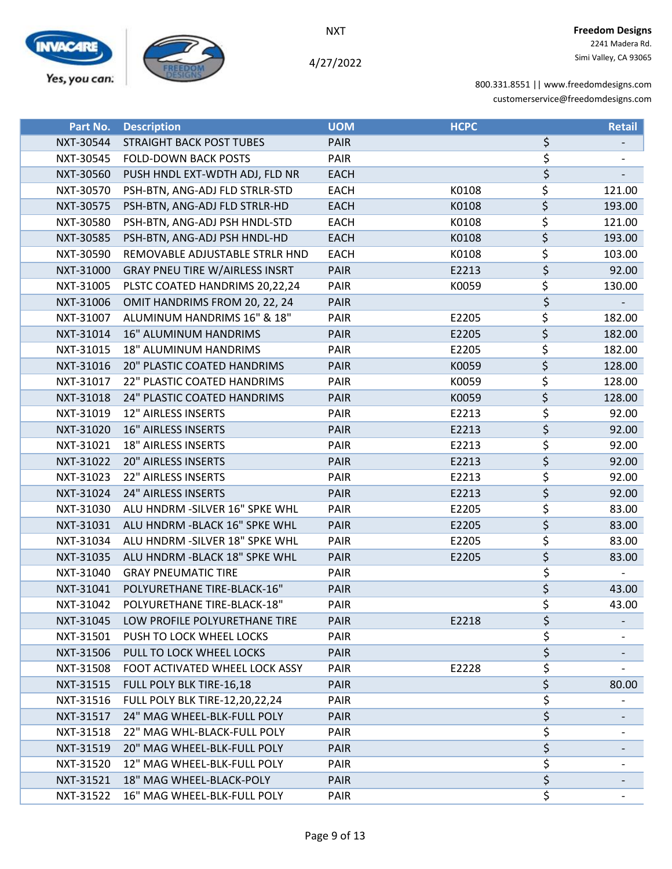



4/27/2022

| Part No.  | <b>Description</b>                    | <b>UOM</b>  | <b>HCPC</b> | <b>Retail</b> |
|-----------|---------------------------------------|-------------|-------------|---------------|
| NXT-30544 | STRAIGHT BACK POST TUBES              | <b>PAIR</b> |             | \$            |
| NXT-30545 | <b>FOLD-DOWN BACK POSTS</b>           | PAIR        |             | \$            |
| NXT-30560 | PUSH HNDL EXT-WDTH ADJ, FLD NR        | <b>EACH</b> |             | \$            |
| NXT-30570 | PSH-BTN, ANG-ADJ FLD STRLR-STD        | <b>EACH</b> | K0108       | \$<br>121.00  |
| NXT-30575 | PSH-BTN, ANG-ADJ FLD STRLR-HD         | <b>EACH</b> | K0108       | \$<br>193.00  |
| NXT-30580 | PSH-BTN, ANG-ADJ PSH HNDL-STD         | <b>EACH</b> | K0108       | \$<br>121.00  |
| NXT-30585 | PSH-BTN, ANG-ADJ PSH HNDL-HD          | <b>EACH</b> | K0108       | \$<br>193.00  |
| NXT-30590 | REMOVABLE ADJUSTABLE STRLR HND        | <b>EACH</b> | K0108       | \$<br>103.00  |
| NXT-31000 | <b>GRAY PNEU TIRE W/AIRLESS INSRT</b> | <b>PAIR</b> | E2213       | \$<br>92.00   |
| NXT-31005 | PLSTC COATED HANDRIMS 20,22,24        | PAIR        | K0059       | \$<br>130.00  |
| NXT-31006 | OMIT HANDRIMS FROM 20, 22, 24         | <b>PAIR</b> |             | \$            |
| NXT-31007 | ALUMINUM HANDRIMS 16" & 18"           | PAIR        | E2205       | \$<br>182.00  |
| NXT-31014 | <b>16" ALUMINUM HANDRIMS</b>          | <b>PAIR</b> | E2205       | \$<br>182.00  |
| NXT-31015 | 18" ALUMINUM HANDRIMS                 | PAIR        | E2205       | \$<br>182.00  |
| NXT-31016 | <b>20" PLASTIC COATED HANDRIMS</b>    | <b>PAIR</b> | K0059       | \$<br>128.00  |
| NXT-31017 | 22" PLASTIC COATED HANDRIMS           | PAIR        | K0059       | \$<br>128.00  |
| NXT-31018 | 24" PLASTIC COATED HANDRIMS           | <b>PAIR</b> | K0059       | \$<br>128.00  |
| NXT-31019 | 12" AIRLESS INSERTS                   | PAIR        | E2213       | \$<br>92.00   |
| NXT-31020 | 16" AIRLESS INSERTS                   | <b>PAIR</b> | E2213       | \$<br>92.00   |
| NXT-31021 | <b>18" AIRLESS INSERTS</b>            | PAIR        | E2213       | \$<br>92.00   |
| NXT-31022 | <b>20" AIRLESS INSERTS</b>            | <b>PAIR</b> | E2213       | \$<br>92.00   |
| NXT-31023 | 22" AIRLESS INSERTS                   | PAIR        | E2213       | \$<br>92.00   |
| NXT-31024 | <b>24" AIRLESS INSERTS</b>            | <b>PAIR</b> | E2213       | \$<br>92.00   |
| NXT-31030 | ALU HNDRM - SILVER 16" SPKE WHL       | PAIR        | E2205       | \$<br>83.00   |
| NXT-31031 | ALU HNDRM - BLACK 16" SPKE WHL        | <b>PAIR</b> | E2205       | \$<br>83.00   |
| NXT-31034 | ALU HNDRM - SILVER 18" SPKE WHL       | PAIR        | E2205       | \$<br>83.00   |
| NXT-31035 | ALU HNDRM - BLACK 18" SPKE WHL        | <b>PAIR</b> | E2205       | \$<br>83.00   |
| NXT-31040 | <b>GRAY PNEUMATIC TIRE</b>            | PAIR        |             | \$            |
| NXT-31041 | POLYURETHANE TIRE-BLACK-16"           | <b>PAIR</b> |             | \$<br>43.00   |
| NXT-31042 | POLYURETHANE TIRE-BLACK-18"           | <b>PAIR</b> |             | \$<br>43.00   |
| NXT-31045 | LOW PROFILE POLYURETHANE TIRE         | <b>PAIR</b> | E2218       | \$            |
| NXT-31501 | PUSH TO LOCK WHEEL LOCKS              | PAIR        |             | \$            |
| NXT-31506 | PULL TO LOCK WHEEL LOCKS              | <b>PAIR</b> |             | \$            |
| NXT-31508 | FOOT ACTIVATED WHEEL LOCK ASSY        | PAIR        | E2228       | \$            |
| NXT-31515 | FULL POLY BLK TIRE-16,18              | <b>PAIR</b> |             | \$<br>80.00   |
| NXT-31516 | FULL POLY BLK TIRE-12,20,22,24        | <b>PAIR</b> |             | \$            |
| NXT-31517 | 24" MAG WHEEL-BLK-FULL POLY           | <b>PAIR</b> |             | \$            |
| NXT-31518 | 22" MAG WHL-BLACK-FULL POLY           | PAIR        |             | \$            |
| NXT-31519 | 20" MAG WHEEL-BLK-FULL POLY           | <b>PAIR</b> |             | \$            |
| NXT-31520 | 12" MAG WHEEL-BLK-FULL POLY           | PAIR        |             | \$            |
| NXT-31521 | 18" MAG WHEEL-BLACK-POLY              | <b>PAIR</b> |             | \$            |
| NXT-31522 | 16" MAG WHEEL-BLK-FULL POLY           | PAIR        |             | \$            |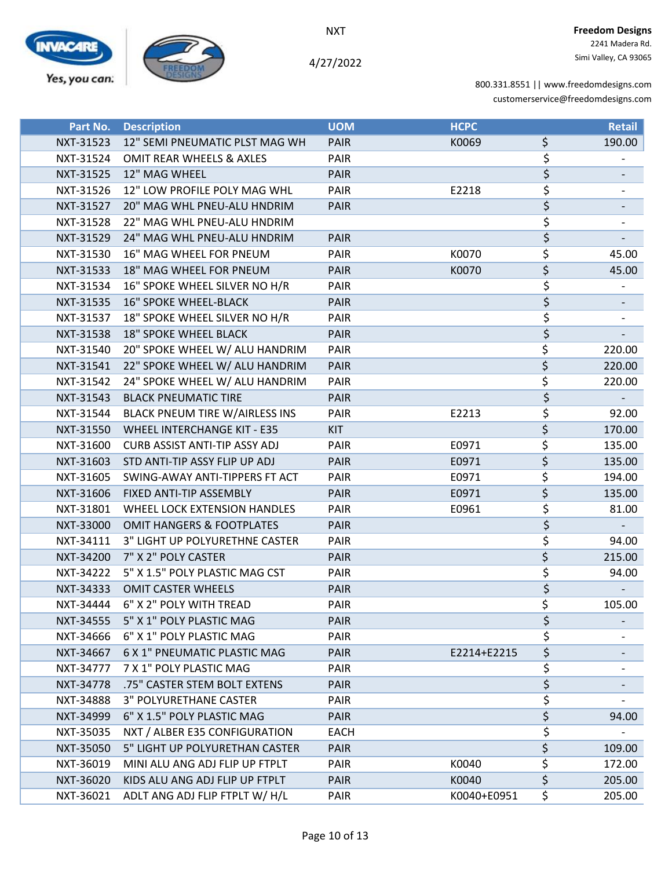



4/27/2022

 2241 Madera Rd. Simi Valley, CA 93065

| Part No.  | <b>Description</b>                   | <b>UOM</b>  | <b>HCPC</b> |                  | <b>Retail</b> |
|-----------|--------------------------------------|-------------|-------------|------------------|---------------|
| NXT-31523 | 12" SEMI PNEUMATIC PLST MAG WH       | <b>PAIR</b> | K0069       | \$               | 190.00        |
| NXT-31524 | OMIT REAR WHEELS & AXLES             | PAIR        |             | \$               |               |
| NXT-31525 | 12" MAG WHEEL                        | <b>PAIR</b> |             | \$               |               |
| NXT-31526 | 12" LOW PROFILE POLY MAG WHL         | PAIR        | E2218       | \$               |               |
| NXT-31527 | 20" MAG WHL PNEU-ALU HNDRIM          | <b>PAIR</b> |             | \$               |               |
| NXT-31528 | 22" MAG WHL PNEU-ALU HNDRIM          |             |             | \$               |               |
| NXT-31529 | 24" MAG WHL PNEU-ALU HNDRIM          | <b>PAIR</b> |             | \$               |               |
| NXT-31530 | 16" MAG WHEEL FOR PNEUM              | PAIR        | K0070       | \$               | 45.00         |
| NXT-31533 | 18" MAG WHEEL FOR PNEUM              | <b>PAIR</b> | K0070       | \$               | 45.00         |
| NXT-31534 | 16" SPOKE WHEEL SILVER NO H/R        | PAIR        |             | \$               |               |
| NXT-31535 | <b>16" SPOKE WHEEL-BLACK</b>         | <b>PAIR</b> |             | \$               |               |
| NXT-31537 | 18" SPOKE WHEEL SILVER NO H/R        | PAIR        |             | \$               |               |
| NXT-31538 | <b>18" SPOKE WHEEL BLACK</b>         | <b>PAIR</b> |             | \$               |               |
| NXT-31540 | 20" SPOKE WHEEL W/ ALU HANDRIM       | PAIR        |             | \$               | 220.00        |
| NXT-31541 | 22" SPOKE WHEEL W/ ALU HANDRIM       | <b>PAIR</b> |             | \$               | 220.00        |
| NXT-31542 | 24" SPOKE WHEEL W/ ALU HANDRIM       | PAIR        |             | \$               | 220.00        |
| NXT-31543 | <b>BLACK PNEUMATIC TIRE</b>          | <b>PAIR</b> |             | $\overline{\xi}$ |               |
| NXT-31544 | BLACK PNEUM TIRE W/AIRLESS INS       | PAIR        | E2213       | \$               | 92.00         |
| NXT-31550 | <b>WHEEL INTERCHANGE KIT - E35</b>   | <b>KIT</b>  |             | \$               | 170.00        |
| NXT-31600 | <b>CURB ASSIST ANTI-TIP ASSY ADJ</b> | <b>PAIR</b> | E0971       | \$               | 135.00        |
| NXT-31603 | STD ANTI-TIP ASSY FLIP UP ADJ        | <b>PAIR</b> | E0971       | \$               | 135.00        |
| NXT-31605 | SWING-AWAY ANTI-TIPPERS FT ACT       | PAIR        | E0971       | \$               | 194.00        |
| NXT-31606 | FIXED ANTI-TIP ASSEMBLY              | <b>PAIR</b> | E0971       | \$               | 135.00        |
| NXT-31801 | WHEEL LOCK EXTENSION HANDLES         | PAIR        | E0961       | \$               | 81.00         |
| NXT-33000 | <b>OMIT HANGERS &amp; FOOTPLATES</b> | <b>PAIR</b> |             | \$               |               |
| NXT-34111 | 3" LIGHT UP POLYURETHNE CASTER       | PAIR        |             | \$               | 94.00         |
| NXT-34200 | 7" X 2" POLY CASTER                  | <b>PAIR</b> |             | \$               | 215.00        |
| NXT-34222 | 5" X 1.5" POLY PLASTIC MAG CST       | PAIR        |             | \$               | 94.00         |
| NXT-34333 | <b>OMIT CASTER WHEELS</b>            | <b>PAIR</b> |             | \$               |               |
| NXT-34444 | 6" X 2" POLY WITH TREAD              | PAIR        |             | Ś                | 105.00        |
| NXT-34555 | 5" X 1" POLY PLASTIC MAG             | <b>PAIR</b> |             | \$               |               |
| NXT-34666 | 6" X 1" POLY PLASTIC MAG             | <b>PAIR</b> |             | \$               |               |
| NXT-34667 | 6 X 1" PNEUMATIC PLASTIC MAG         | <b>PAIR</b> | E2214+E2215 | \$               |               |
| NXT-34777 | 7 X 1" POLY PLASTIC MAG              | <b>PAIR</b> |             | \$               |               |
| NXT-34778 | .75" CASTER STEM BOLT EXTENS         | <b>PAIR</b> |             | \$               |               |
| NXT-34888 | 3" POLYURETHANE CASTER               | <b>PAIR</b> |             | \$               |               |
| NXT-34999 | 6" X 1.5" POLY PLASTIC MAG           | <b>PAIR</b> |             | \$               | 94.00         |
| NXT-35035 | NXT / ALBER E35 CONFIGURATION        | <b>EACH</b> |             | \$               |               |
| NXT-35050 | 5" LIGHT UP POLYURETHAN CASTER       | <b>PAIR</b> |             | \$               | 109.00        |
| NXT-36019 | MINI ALU ANG ADJ FLIP UP FTPLT       | PAIR        | K0040       | \$               | 172.00        |
| NXT-36020 | KIDS ALU ANG ADJ FLIP UP FTPLT       | <b>PAIR</b> | K0040       | \$               | 205.00        |
| NXT-36021 | ADLT ANG ADJ FLIP FTPLT W/ H/L       | PAIR        | K0040+E0951 | \$               | 205.00        |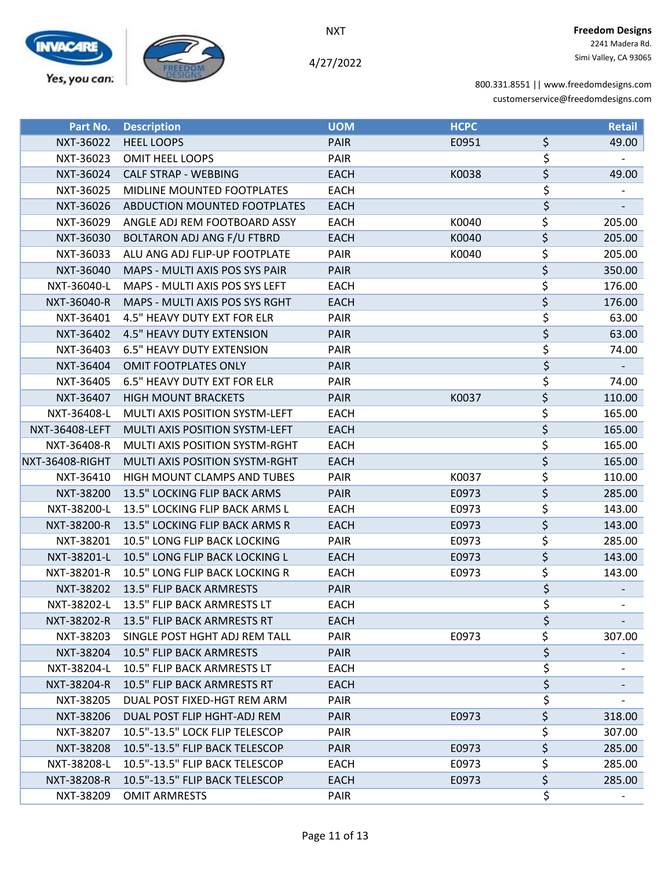

4/27/2022

| Part No.              | <b>Description</b>                    | <b>UOM</b>  | <b>HCPC</b> |                        | <b>Retail</b> |
|-----------------------|---------------------------------------|-------------|-------------|------------------------|---------------|
| NXT-36022             | <b>HEEL LOOPS</b>                     | <b>PAIR</b> | E0951       | \$                     | 49.00         |
| NXT-36023             | <b>OMIT HEEL LOOPS</b>                | PAIR        |             | \$                     |               |
| NXT-36024             | <b>CALF STRAP - WEBBING</b>           | <b>EACH</b> | K0038       | \$                     | 49.00         |
| NXT-36025             | MIDLINE MOUNTED FOOTPLATES            | <b>EACH</b> |             | \$                     |               |
| NXT-36026             | ABDUCTION MOUNTED FOOTPLATES          | <b>EACH</b> |             | \$                     |               |
| NXT-36029             | ANGLE ADJ REM FOOTBOARD ASSY          | <b>EACH</b> | K0040       | \$                     | 205.00        |
| NXT-36030             | <b>BOLTARON ADJ ANG F/U FTBRD</b>     | <b>EACH</b> | K0040       | \$                     | 205.00        |
| NXT-36033             | ALU ANG ADJ FLIP-UP FOOTPLATE         | PAIR        | K0040       | \$                     | 205.00        |
| NXT-36040             | MAPS - MULTI AXIS POS SYS PAIR        | <b>PAIR</b> |             | \$                     | 350.00        |
| NXT-36040-L           | MAPS - MULTI AXIS POS SYS LEFT        | <b>EACH</b> |             | \$                     | 176.00        |
| NXT-36040-R           | MAPS - MULTI AXIS POS SYS RGHT        | <b>EACH</b> |             | \$                     | 176.00        |
| NXT-36401             | 4.5" HEAVY DUTY EXT FOR ELR           | PAIR        |             | \$                     | 63.00         |
| NXT-36402             | <b>4.5" HEAVY DUTY EXTENSION</b>      | <b>PAIR</b> |             | \$                     | 63.00         |
| NXT-36403             | <b>6.5" HEAVY DUTY EXTENSION</b>      | PAIR        |             | \$                     | 74.00         |
| NXT-36404             | <b>OMIT FOOTPLATES ONLY</b>           | <b>PAIR</b> |             | \$                     |               |
| NXT-36405             | <b>6.5" HEAVY DUTY EXT FOR ELR</b>    | PAIR        |             | \$                     | 74.00         |
| NXT-36407             | <b>HIGH MOUNT BRACKETS</b>            | <b>PAIR</b> | K0037       | \$                     | 110.00        |
| NXT-36408-L           | <b>MULTI AXIS POSITION SYSTM-LEFT</b> | <b>EACH</b> |             | \$                     | 165.00        |
| <b>NXT-36408-LEFT</b> | <b>MULTI AXIS POSITION SYSTM-LEFT</b> | <b>EACH</b> |             | \$                     | 165.00        |
| NXT-36408-R           | MULTI AXIS POSITION SYSTM-RGHT        | <b>EACH</b> |             | \$                     | 165.00        |
| NXT-36408-RIGHT       | <b>MULTI AXIS POSITION SYSTM-RGHT</b> | <b>EACH</b> |             | \$                     | 165.00        |
| NXT-36410             | HIGH MOUNT CLAMPS AND TUBES           | PAIR        | K0037       | \$                     | 110.00        |
| NXT-38200             | 13.5" LOCKING FLIP BACK ARMS          | PAIR        | E0973       | $\overline{\varsigma}$ | 285.00        |
| NXT-38200-L           | 13.5" LOCKING FLIP BACK ARMS L        | <b>EACH</b> | E0973       | \$                     | 143.00        |
| NXT-38200-R           | 13.5" LOCKING FLIP BACK ARMS R        | <b>EACH</b> | E0973       | \$                     | 143.00        |
| NXT-38201             | 10.5" LONG FLIP BACK LOCKING          | PAIR        | E0973       | \$                     | 285.00        |
| NXT-38201-L           | 10.5" LONG FLIP BACK LOCKING L        | <b>EACH</b> | E0973       | \$                     | 143.00        |
| NXT-38201-R           | 10.5" LONG FLIP BACK LOCKING R        | <b>EACH</b> | E0973       | \$                     | 143.00        |
| NXT-38202             | 13.5" FLIP BACK ARMRESTS              | <b>PAIR</b> |             | \$                     |               |
| NXT-38202-L           | 13.5" FLIP BACK ARMRESTS LT           | <b>EACH</b> |             | \$                     |               |
| NXT-38202-R           | 13.5" FLIP BACK ARMRESTS RT           | <b>EACH</b> |             | \$                     |               |
| NXT-38203             | SINGLE POST HGHT ADJ REM TALL         | PAIR        | E0973       | \$                     | 307.00        |
| NXT-38204             | 10.5" FLIP BACK ARMRESTS              | <b>PAIR</b> |             | \$                     |               |
| NXT-38204-L           | 10.5" FLIP BACK ARMRESTS LT           | EACH        |             | \$                     |               |
| NXT-38204-R           | 10.5" FLIP BACK ARMRESTS RT           | <b>EACH</b> |             | \$                     |               |
| NXT-38205             | DUAL POST FIXED-HGT REM ARM           | <b>PAIR</b> |             | \$                     |               |
| NXT-38206             | DUAL POST FLIP HGHT-ADJ REM           | <b>PAIR</b> | E0973       | \$                     | 318.00        |
| NXT-38207             | 10.5"-13.5" LOCK FLIP TELESCOP        | <b>PAIR</b> |             | \$                     | 307.00        |
| NXT-38208             | 10.5"-13.5" FLIP BACK TELESCOP        | <b>PAIR</b> | E0973       | \$                     | 285.00        |
| NXT-38208-L           | 10.5"-13.5" FLIP BACK TELESCOP        | EACH        | E0973       | $\overline{\xi}$       | 285.00        |
| NXT-38208-R           | 10.5"-13.5" FLIP BACK TELESCOP        | <b>EACH</b> | E0973       | $\overline{\varsigma}$ | 285.00        |
| NXT-38209             | <b>OMIT ARMRESTS</b>                  | PAIR        |             | \$                     |               |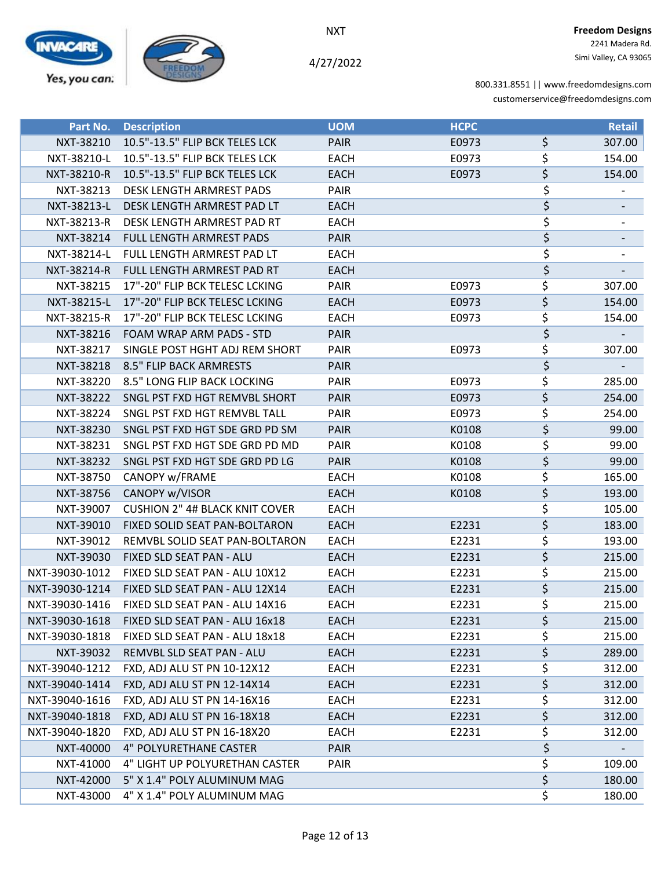

4/27/2022

| Part No.       | <b>Description</b>                    | <b>UOM</b>  | <b>HCPC</b> |                                 | <b>Retail</b> |
|----------------|---------------------------------------|-------------|-------------|---------------------------------|---------------|
| NXT-38210      | 10.5"-13.5" FLIP BCK TELES LCK        | PAIR        | E0973       | \$                              | 307.00        |
| NXT-38210-L    | 10.5"-13.5" FLIP BCK TELES LCK        | <b>EACH</b> | E0973       | \$                              | 154.00        |
| NXT-38210-R    | 10.5"-13.5" FLIP BCK TELES LCK        | <b>EACH</b> | E0973       | \$                              | 154.00        |
| NXT-38213      | DESK LENGTH ARMREST PADS              | PAIR        |             | \$                              |               |
| NXT-38213-L    | DESK LENGTH ARMREST PAD LT            | <b>EACH</b> |             | $\overline{\boldsymbol{\zeta}}$ |               |
| NXT-38213-R    | DESK LENGTH ARMREST PAD RT            | <b>EACH</b> |             | \$                              |               |
| NXT-38214      | FULL LENGTH ARMREST PADS              | <b>PAIR</b> |             | \$                              |               |
| NXT-38214-L    | FULL LENGTH ARMREST PAD LT            | <b>EACH</b> |             | \$                              |               |
| NXT-38214-R    | FULL LENGTH ARMREST PAD RT            | <b>EACH</b> |             | \$                              |               |
| NXT-38215      | 17"-20" FLIP BCK TELESC LCKING        | PAIR        | E0973       | \$                              | 307.00        |
| NXT-38215-L    | 17"-20" FLIP BCK TELESC LCKING        | <b>EACH</b> | E0973       | \$                              | 154.00        |
| NXT-38215-R    | 17"-20" FLIP BCK TELESC LCKING        | <b>EACH</b> | E0973       | \$                              | 154.00        |
| NXT-38216      | FOAM WRAP ARM PADS - STD              | <b>PAIR</b> |             | \$                              |               |
| NXT-38217      | SINGLE POST HGHT ADJ REM SHORT        | PAIR        | E0973       | \$                              | 307.00        |
| NXT-38218      | <b>8.5" FLIP BACK ARMRESTS</b>        | <b>PAIR</b> |             | $\overline{\varsigma}$          |               |
| NXT-38220      | 8.5" LONG FLIP BACK LOCKING           | PAIR        | E0973       | \$                              | 285.00        |
| NXT-38222      | SNGL PST FXD HGT REMVBL SHORT         | <b>PAIR</b> | E0973       | \$                              | 254.00        |
| NXT-38224      | SNGL PST FXD HGT REMVBL TALL          | PAIR        | E0973       | \$                              | 254.00        |
| NXT-38230      | SNGL PST FXD HGT SDE GRD PD SM        | <b>PAIR</b> | K0108       | \$                              | 99.00         |
| NXT-38231      | SNGL PST FXD HGT SDE GRD PD MD        | PAIR        | K0108       | \$                              | 99.00         |
| NXT-38232      | SNGL PST FXD HGT SDE GRD PD LG        | <b>PAIR</b> | K0108       | \$                              | 99.00         |
| NXT-38750      | CANOPY w/FRAME                        | <b>EACH</b> | K0108       | \$                              | 165.00        |
| NXT-38756      | CANOPY w/VISOR                        | <b>EACH</b> | K0108       | \$                              | 193.00        |
| NXT-39007      | <b>CUSHION 2" 4# BLACK KNIT COVER</b> | <b>EACH</b> |             | \$                              | 105.00        |
| NXT-39010      | FIXED SOLID SEAT PAN-BOLTARON         | <b>EACH</b> | E2231       | \$                              | 183.00        |
| NXT-39012      | REMVBL SOLID SEAT PAN-BOLTARON        | EACH        | E2231       | \$                              | 193.00        |
| NXT-39030      | FIXED SLD SEAT PAN - ALU              | <b>EACH</b> | E2231       | \$                              | 215.00        |
| NXT-39030-1012 | FIXED SLD SEAT PAN - ALU 10X12        | <b>EACH</b> | E2231       | \$                              | 215.00        |
| NXT-39030-1214 | FIXED SLD SEAT PAN - ALU 12X14        | <b>EACH</b> | E2231       | \$                              | 215.00        |
| NXT-39030-1416 | FIXED SLD SEAT PAN - ALU 14X16        | <b>EACH</b> | E2231       | \$                              | 215.00        |
| NXT-39030-1618 | FIXED SLD SEAT PAN - ALU 16x18        | <b>EACH</b> | E2231       | \$                              | 215.00        |
| NXT-39030-1818 | FIXED SLD SEAT PAN - ALU 18x18        | <b>EACH</b> | E2231       | \$                              | 215.00        |
| NXT-39032      | REMVBL SLD SEAT PAN - ALU             | <b>EACH</b> | E2231       | \$                              | 289.00        |
| NXT-39040-1212 | FXD, ADJ ALU ST PN 10-12X12           | <b>EACH</b> | E2231       | \$                              | 312.00        |
| NXT-39040-1414 | FXD, ADJ ALU ST PN 12-14X14           | <b>EACH</b> | E2231       | \$                              | 312.00        |
| NXT-39040-1616 | FXD, ADJ ALU ST PN 14-16X16           | EACH        | E2231       | \$                              | 312.00        |
| NXT-39040-1818 | FXD, ADJ ALU ST PN 16-18X18           | <b>EACH</b> | E2231       | \$                              | 312.00        |
| NXT-39040-1820 | FXD, ADJ ALU ST PN 16-18X20           | EACH        | E2231       | \$                              | 312.00        |
| NXT-40000      | 4" POLYURETHANE CASTER                | <b>PAIR</b> |             | \$                              |               |
| NXT-41000      | 4" LIGHT UP POLYURETHAN CASTER        | PAIR        |             | \$                              | 109.00        |
| NXT-42000      | 5" X 1.4" POLY ALUMINUM MAG           |             |             | $\overline{\xi}$                | 180.00        |
| NXT-43000      | 4" X 1.4" POLY ALUMINUM MAG           |             |             | \$                              | 180.00        |